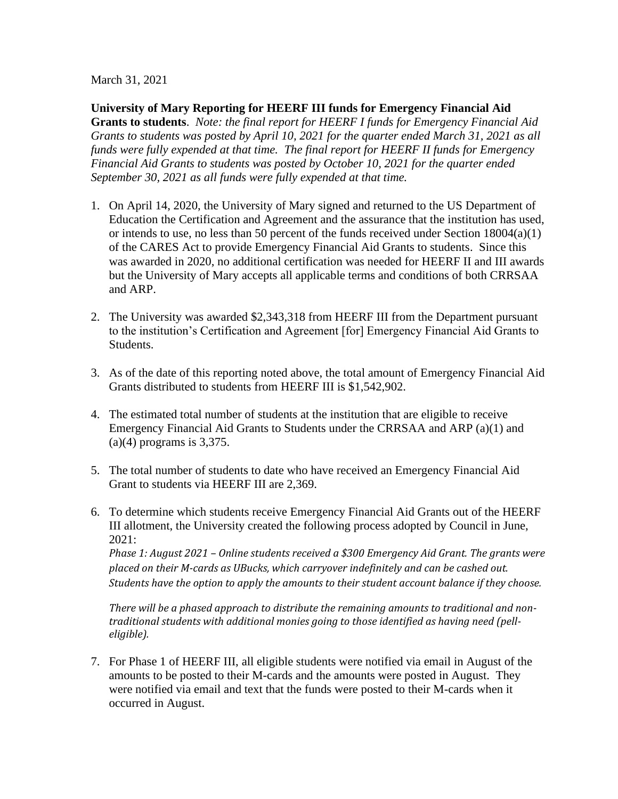March 31, 2021

**University of Mary Reporting for HEERF III funds for Emergency Financial Aid Grants to students**. *Note: the final report for HEERF I funds for Emergency Financial Aid Grants to students was posted by April 10, 2021 for the quarter ended March 31, 2021 as all funds were fully expended at that time. The final report for HEERF II funds for Emergency Financial Aid Grants to students was posted by October 10, 2021 for the quarter ended September 30, 2021 as all funds were fully expended at that time.*

- 1. On April 14, 2020, the University of Mary signed and returned to the US Department of Education the Certification and Agreement and the assurance that the institution has used, or intends to use, no less than 50 percent of the funds received under Section 18004(a)(1) of the CARES Act to provide Emergency Financial Aid Grants to students. Since this was awarded in 2020, no additional certification was needed for HEERF II and III awards but the University of Mary accepts all applicable terms and conditions of both CRRSAA and ARP.
- 2. The University was awarded \$2,343,318 from HEERF III from the Department pursuant to the institution's Certification and Agreement [for] Emergency Financial Aid Grants to Students.
- 3. As of the date of this reporting noted above, the total amount of Emergency Financial Aid Grants distributed to students from HEERF III is \$1,542,902.
- 4. The estimated total number of students at the institution that are eligible to receive Emergency Financial Aid Grants to Students under the CRRSAA and ARP (a)(1) and  $(a)(4)$  programs is 3,375.
- 5. The total number of students to date who have received an Emergency Financial Aid Grant to students via HEERF III are 2,369.
- 6. To determine which students receive Emergency Financial Aid Grants out of the HEERF III allotment, the University created the following process adopted by Council in June, 2021:

*Phase 1: August 2021 – Online students received a \$300 Emergency Aid Grant. The grants were placed on their M-cards as UBucks, which carryover indefinitely and can be cashed out. Students have the option to apply the amounts to their student account balance if they choose.*

*There will be a phased approach to distribute the remaining amounts to traditional and nontraditional students with additional monies going to those identified as having need (pelleligible).*

7. For Phase 1 of HEERF III, all eligible students were notified via email in August of the amounts to be posted to their M-cards and the amounts were posted in August. They were notified via email and text that the funds were posted to their M-cards when it occurred in August.